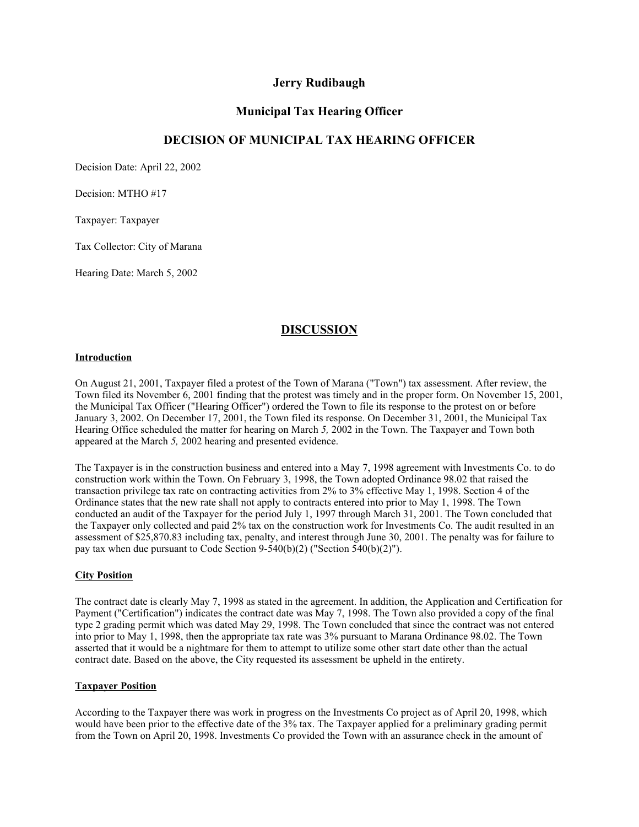## **Jerry Rudibaugh**

## **Municipal Tax Hearing Officer**

# **DECISION OF MUNICIPAL TAX HEARING OFFICER**

Decision Date: April 22, 2002

Decision: MTHO #17

Taxpayer: Taxpayer

Tax Collector: City of Marana

Hearing Date: March 5, 2002

# **DISCUSSION**

#### **Introduction**

On August 21, 2001, Taxpayer filed a protest of the Town of Marana ("Town") tax assessment. After review, the Town filed its November 6, 2001 finding that the protest was timely and in the proper form. On November 15, 2001, the Municipal Tax Officer ("Hearing Officer") ordered the Town to file its response to the protest on or before January 3, 2002. On December 17, 2001, the Town filed its response. On December 31, 2001, the Municipal Tax Hearing Office scheduled the matter for hearing on March *5,* 2002 in the Town. The Taxpayer and Town both appeared at the March *5,* 2002 hearing and presented evidence.

The Taxpayer is in the construction business and entered into a May 7, 1998 agreement with Investments Co. to do construction work within the Town. On February 3, 1998, the Town adopted Ordinance 98.02 that raised the transaction privilege tax rate on contracting activities from 2% to 3% effective May 1, 1998. Section 4 of the Ordinance states that the new rate shall not apply to contracts entered into prior to May 1, 1998. The Town conducted an audit of the Taxpayer for the period July 1, 1997 through March 31, 2001. The Town concluded that the Taxpayer only collected and paid 2% tax on the construction work for Investments Co. The audit resulted in an assessment of \$25,870.83 including tax, penalty, and interest through June 30, 2001. The penalty was for failure to pay tax when due pursuant to Code Section 9-540(b)(2) ("Section 540(b)(2)").

### **City Position**

The contract date is clearly May 7, 1998 as stated in the agreement. In addition, the Application and Certification for Payment ("Certification") indicates the contract date was May 7, 1998. The Town also provided a copy of the final type 2 grading permit which was dated May 29, 1998. The Town concluded that since the contract was not entered into prior to May 1, 1998, then the appropriate tax rate was 3% pursuant to Marana Ordinance 98.02. The Town asserted that it would be a nightmare for them to attempt to utilize some other start date other than the actual contract date. Based on the above, the City requested its assessment be upheld in the entirety.

### **Taxpayer Position**

According to the Taxpayer there was work in progress on the Investments Co project as of April 20, 1998, which would have been prior to the effective date of the 3% tax. The Taxpayer applied for a preliminary grading permit from the Town on April 20, 1998. Investments Co provided the Town with an assurance check in the amount of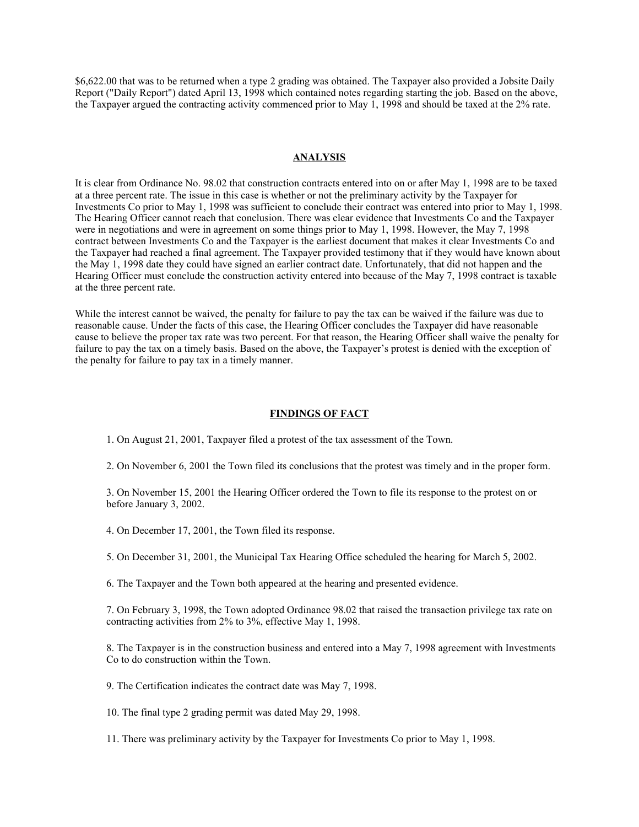\$6,622.00 that was to be returned when a type 2 grading was obtained. The Taxpayer also provided a Jobsite Daily Report ("Daily Report") dated April 13, 1998 which contained notes regarding starting the job. Based on the above, the Taxpayer argued the contracting activity commenced prior to May 1, 1998 and should be taxed at the 2% rate.

#### **ANALYSIS**

It is clear from Ordinance No. 98.02 that construction contracts entered into on or after May 1, 1998 are to be taxed at a three percent rate. The issue in this case is whether or not the preliminary activity by the Taxpayer for Investments Co prior to May 1, 1998 was sufficient to conclude their contract was entered into prior to May 1, 1998. The Hearing Officer cannot reach that conclusion. There was clear evidence that Investments Co and the Taxpayer were in negotiations and were in agreement on some things prior to May 1, 1998. However, the May 7, 1998 contract between Investments Co and the Taxpayer is the earliest document that makes it clear Investments Co and the Taxpayer had reached a final agreement. The Taxpayer provided testimony that if they would have known about the May 1, 1998 date they could have signed an earlier contract date. Unfortunately, that did not happen and the Hearing Officer must conclude the construction activity entered into because of the May 7, 1998 contract is taxable at the three percent rate.

While the interest cannot be waived, the penalty for failure to pay the tax can be waived if the failure was due to reasonable cause. Under the facts of this case, the Hearing Officer concludes the Taxpayer did have reasonable cause to believe the proper tax rate was two percent. For that reason, the Hearing Officer shall waive the penalty for failure to pay the tax on a timely basis. Based on the above, the Taxpayer's protest is denied with the exception of the penalty for failure to pay tax in a timely manner.

#### **FINDINGS OF FACT**

1. On August 21, 2001, Taxpayer filed a protest of the tax assessment of the Town.

2. On November 6, 2001 the Town filed its conclusions that the protest was timely and in the proper form.

3. On November 15, 2001 the Hearing Officer ordered the Town to file its response to the protest on or before January 3, 2002.

4. On December 17, 2001, the Town filed its response.

5. On December 31, 2001, the Municipal Tax Hearing Office scheduled the hearing for March 5, 2002.

6. The Taxpayer and the Town both appeared at the hearing and presented evidence.

7. On February 3, 1998, the Town adopted Ordinance 98.02 that raised the transaction privilege tax rate on contracting activities from 2% to 3%, effective May 1, 1998.

8. The Taxpayer is in the construction business and entered into a May 7, 1998 agreement with Investments Co to do construction within the Town.

9. The Certification indicates the contract date was May 7, 1998.

10. The final type 2 grading permit was dated May 29, 1998.

11. There was preliminary activity by the Taxpayer for Investments Co prior to May 1, 1998.